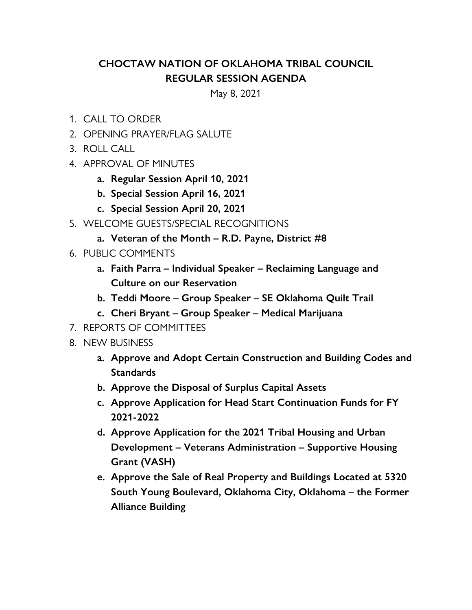## **CHOCTAW NATION OF OKLAHOMA TRIBAL COUNCIL REGULAR SESSION AGENDA**

May 8, 2021

- 1. CALL TO ORDER
- 2. OPENING PRAYER/FLAG SALUTE
- 3. ROLL CALL
- 4. APPROVAL OF MINUTES
	- **a. Regular Session April 10, 2021**
	- **b. Special Session April 16, 2021**
	- **c. Special Session April 20, 2021**
- 5. WELCOME GUESTS/SPECIAL RECOGNITIONS
	- **a. Veteran of the Month R.D. Payne, District #8**
- 6. PUBLIC COMMENTS
	- **a. Faith Parra Individual Speaker Reclaiming Language and Culture on our Reservation**
	- **b. Teddi Moore Group Speaker SE Oklahoma Quilt Trail**
	- **c. Cheri Bryant Group Speaker Medical Marijuana**
- 7. REPORTS OF COMMITTEES
- 8. NEW BUSINESS
	- **a. Approve and Adopt Certain Construction and Building Codes and Standards**
	- **b. Approve the Disposal of Surplus Capital Assets**
	- **c. Approve Application for Head Start Continuation Funds for FY 2021-2022**
	- **d. Approve Application for the 2021 Tribal Housing and Urban Development – Veterans Administration – Supportive Housing Grant (VASH)**
	- **e. Approve the Sale of Real Property and Buildings Located at 5320 South Young Boulevard, Oklahoma City, Oklahoma – the Former Alliance Building**